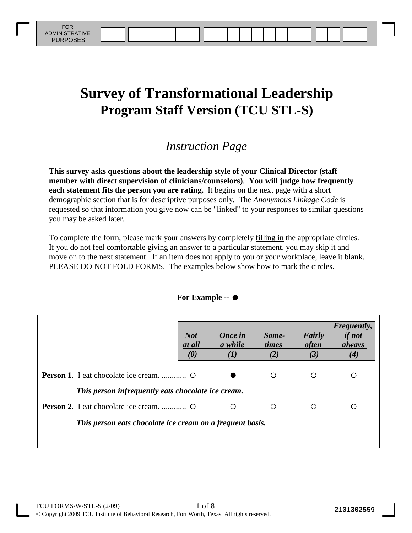# **Survey of Transformational Leadership Program Staff Version (TCU STL-S)**

#### *Instruction Page*

**This survey asks questions about the leadership style of your Clinical Director (staff member with direct supervision of clinicians/counselors)**. **You will judge how frequently each statement fits the person you are rating.** It begins on the next page with a short demographic section that is for descriptive purposes only. The *Anonymous Linkage Code* is requested so that information you give now can be "linked" to your responses to similar questions you may be asked later.

To complete the form, please mark your answers by completely filling in the appropriate circles. If you do not feel comfortable giving an answer to a particular statement, you may skip it and move on to the next statement. If an item does not apply to you or your workplace, leave it blank. PLEASE DO NOT FOLD FORMS. The examples below show how to mark the circles.

|                                                           | <b>Not</b><br>at all<br>$\boldsymbol{\theta}$ | <b>Once in</b><br>a while<br>$\boldsymbol{(I)}$ | Some-<br>times<br>(2) | Fairly<br><i>often</i><br>(3) | Frequently,<br><i>if not</i><br>always<br>(4) |
|-----------------------------------------------------------|-----------------------------------------------|-------------------------------------------------|-----------------------|-------------------------------|-----------------------------------------------|
| <b>Person 1.</b> I eat chocolate ice cream.  O            |                                               |                                                 | ◯                     |                               | ◯                                             |
| This person infrequently eats chocolate ice cream.        |                                               |                                                 |                       |                               |                                               |
| <b>Person 2.</b> I eat chocolate ice cream.  O            |                                               | ∩                                               | ∩                     | ∩                             | ∩                                             |
| This person eats chocolate ice cream on a frequent basis. |                                               |                                                 |                       |                               |                                               |

#### **For Example --**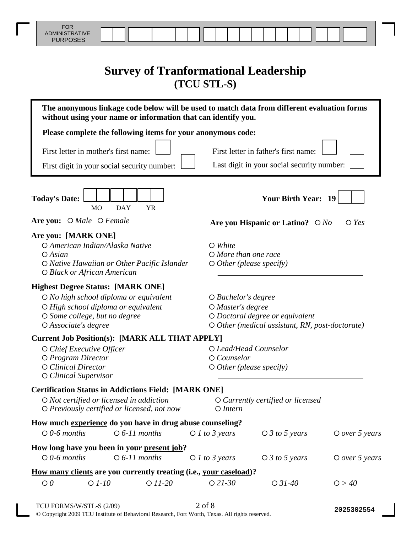## **Survey of Tranformational Leadership (TCU STL-S)**

| without using your name or information that can identify you.                                                                                                                                 | The anonymous linkage code below will be used to match data from different evaluation forms                                                            |
|-----------------------------------------------------------------------------------------------------------------------------------------------------------------------------------------------|--------------------------------------------------------------------------------------------------------------------------------------------------------|
| Please complete the following items for your anonymous code:                                                                                                                                  |                                                                                                                                                        |
| First letter in mother's first name:<br>First digit in your social security number:                                                                                                           | First letter in father's first name:<br>Last digit in your social security number:                                                                     |
| <b>Today's Date:</b><br><b>DAY</b><br><b>YR</b><br>MO                                                                                                                                         | <b>Your Birth Year: 19</b>                                                                                                                             |
| Are you: O Male O Female                                                                                                                                                                      | Are you Hispanic or Latino? $\bigcirc$ No<br>$\bigcirc$ Yes                                                                                            |
| Are you: [MARK ONE]<br>O American Indian/Alaska Native<br>$O$ Asian<br>O Native Hawaiian or Other Pacific Islander<br>O Black or African American                                             | $\bigcirc$ White<br>$O$ More than one race<br>$\bigcirc$ Other (please specify)                                                                        |
| <b>Highest Degree Status: [MARK ONE]</b><br>$\bigcirc$ No high school diploma or equivalent<br>O High school diploma or equivalent<br>O Some college, but no degree<br>$O$ Associate's degree | $\bigcirc$ Bachelor's degree<br>O Master's degree<br>$\bigcirc$ Doctoral degree or equivalent<br>$\circ$ Other (medical assistant, RN, post-doctorate) |
| <b>Current Job Position(s): [MARK ALL THAT APPLY]</b><br>$\circ$ Chief Executive Officer<br>O Program Director<br>O Clinical Director<br>$\circ$ Clinical Supervisor                          | O Lead/Head Counselor<br>$O$ Counselor<br>$\bigcirc$ Other (please specify)                                                                            |
| <b>Certification Status in Addictions Field: [MARK ONE]</b><br>$\bigcirc$ Not certified or licensed in addiction<br>$\bigcirc$ Previously certified or licensed, not now                      | $\circ$ Currently certified or licensed<br>$O$ Intern                                                                                                  |
| How much experience do you have in drug abuse counseling?<br>$\bigcirc$ 0-6 months<br>$\circ$ 6-11 months                                                                                     | $O$ <i>l</i> to 3 years<br>$\bigcirc$ 3 to 5 years<br>$\circ$ over 5 years                                                                             |
| How long have you been in your present job?                                                                                                                                                   |                                                                                                                                                        |
| $\bigcirc$ 0-6 months<br>$\bigcirc$ 6-11 months                                                                                                                                               | $\bigcirc$ 3 to 5 years<br>$\bigcirc$ <i>l to 3 years</i><br>$O$ over 5 years                                                                          |
| How many clients are you currently treating (i.e., your caseload)?                                                                                                                            |                                                                                                                                                        |
| $\bigcirc$ 0<br>$O$ $1-10$<br>$O$ 11-20                                                                                                                                                       | $O$ 21-30<br>$O$ 31-40<br>O > 40                                                                                                                       |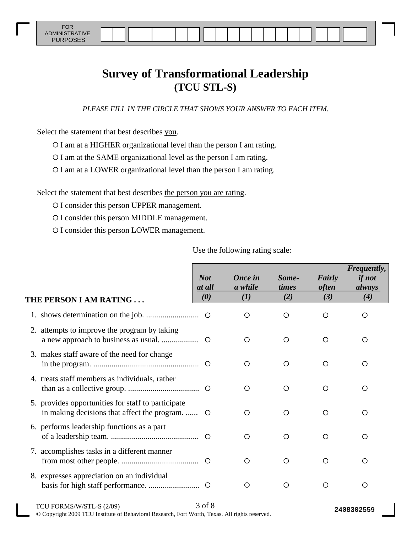FOR ADMINISTRATIVE

## **Survey of Transformational Leadership (TCU STL-S)**

*PLEASE FILL IN THE CIRCLE THAT SHOWS YOUR ANSWER TO EACH ITEM.*

Select the statement that best describes you.

O I am at a HIGHER organizational level than the person I am rating.

I am at the SAME organizational level as the person I am rating.

I am at a LOWER organizational level than the person I am rating.

Select the statement that best describes the person you are rating.

O I consider this person UPPER management.

O I consider this person MIDDLE management.

O I consider this person LOWER management.

Use the following rating scale:

| THE PERSON I AM RATING                                                                             | <b>Not</b><br>at all<br>(0) | <b>Once in</b><br>a while<br>(I) | Some-<br>times<br>(2) | Fairly<br><i>often</i><br>(3) | Frequently,<br><i>if not</i><br>always<br>(4) |
|----------------------------------------------------------------------------------------------------|-----------------------------|----------------------------------|-----------------------|-------------------------------|-----------------------------------------------|
|                                                                                                    |                             |                                  |                       |                               |                                               |
|                                                                                                    |                             | O                                | O                     | ◯                             | ◯                                             |
| 2. attempts to improve the program by taking                                                       |                             | $\bigcirc$                       | ◯                     | ∩                             | ◯                                             |
| 3. makes staff aware of the need for change                                                        |                             | O                                | ∩                     | ∩                             | ◯                                             |
| 4. treats staff members as individuals, rather                                                     |                             | ◯                                | $\circ$               | ∩                             | ∩                                             |
| 5. provides opportunities for staff to participate<br>in making decisions that affect the program. | $\circ$                     | ◯                                | ◯                     | ∩                             | ∩                                             |
| 6. performs leadership functions as a part                                                         |                             | ◯                                | ∩                     | ∩                             | ∩                                             |
| 7. accomplishes tasks in a different manner                                                        |                             | ∩                                | ∩                     | ◯                             | ◯                                             |
| 8. expresses appreciation on an individual                                                         |                             | O                                | $\bigcirc$            | ∩                             | ◯                                             |
|                                                                                                    |                             |                                  |                       |                               |                                               |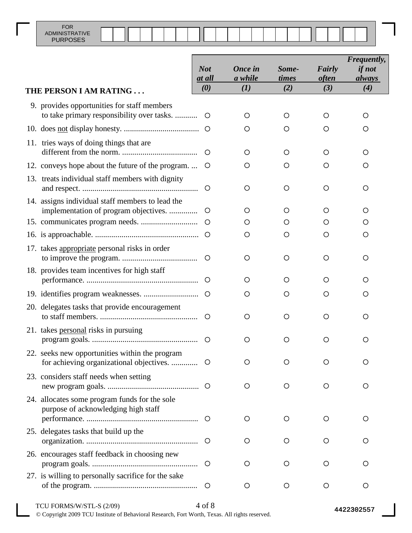|                                                                                           | <b>Not</b><br>at all<br>$\boldsymbol{\theta}$ | <b>Once in</b><br>a while<br>(I) | Some-<br>times<br>(2) | Fairly<br><i>often</i><br>(3) | Frequently,<br><i>if not</i><br><i>always</i><br>(4) |
|-------------------------------------------------------------------------------------------|-----------------------------------------------|----------------------------------|-----------------------|-------------------------------|------------------------------------------------------|
| THE PERSON I AM RATING                                                                    |                                               |                                  |                       |                               |                                                      |
| 9. provides opportunities for staff members<br>to take primary responsibility over tasks. | $\circ$                                       | O                                | $\circ$               | O                             | O                                                    |
|                                                                                           | $\circ$                                       | O                                | Ő                     | Ő                             | Ő                                                    |
| 11. tries ways of doing things that are                                                   | $\circ$                                       | O                                | O                     | O                             | O                                                    |
| 12. conveys hope about the future of the program                                          | $\circ$                                       | О                                | O                     | O                             | O                                                    |
| 13. treats individual staff members with dignity                                          | $\circ$                                       | O                                | $\circ$               | O                             | O                                                    |
| 14. assigns individual staff members to lead the<br>implementation of program objectives. | $\circ$                                       | O                                | O                     | O                             | O                                                    |
|                                                                                           | $\circ$                                       | O                                | O                     | O                             | Ő                                                    |
|                                                                                           |                                               | О                                | O                     | Ο                             | O                                                    |
| 17. takes appropriate personal risks in order                                             | $\circ$                                       | O                                | $\circ$               | O                             | O                                                    |
| 18. provides team incentives for high staff                                               | $\circ$                                       | O                                | $\circ$               | O                             | O                                                    |
|                                                                                           |                                               | O                                | O                     | Ο                             | O                                                    |
| 20. delegates tasks that provide encouragement                                            | $\circ$                                       | O                                | $\circ$               | O                             | Ő                                                    |
| 21. takes personal risks in pursuing                                                      | $\circ$                                       | O                                | O                     | O                             | O                                                    |
| 22. seeks new opportunities within the program                                            |                                               | O                                | O                     | O                             | O                                                    |
| 23. considers staff needs when setting                                                    |                                               | O                                | $\circ$               | O                             | $\circ$                                              |
| 24. allocates some program funds for the sole<br>purpose of acknowledging high staff      |                                               | O                                | O                     | O                             | O                                                    |
| 25. delegates tasks that build up the                                                     |                                               | O                                | O                     | O                             | Ο                                                    |
| 26. encourages staff feedback in choosing new                                             | $\circ$                                       | O                                | O                     | O                             | O                                                    |
| 27. is willing to personally sacrifice for the sake                                       |                                               | O                                | $\circ$               | O                             | O                                                    |

#### TCU FORMS/W/STL-S (2/09) 4 of 8 © Copyright 2009 TCU Institute of Behavioral Research, Fort Worth, Texas. All rights reserved.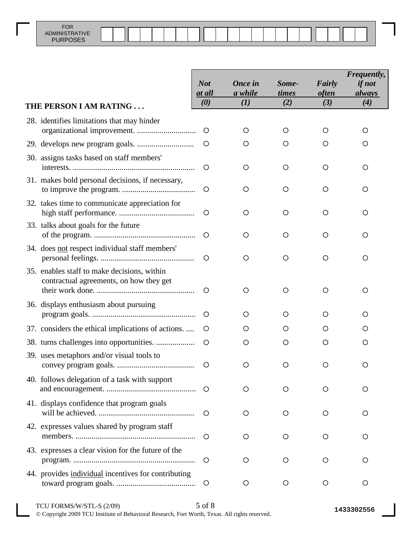|                                                                                        | <b>Not</b>                      | <b>Once in</b> | Some-        | Fairly<br><i>often</i> | Frequently,<br><i>if not</i> |
|----------------------------------------------------------------------------------------|---------------------------------|----------------|--------------|------------------------|------------------------------|
| THE PERSON I AM RATING                                                                 | at all<br>$\boldsymbol{\theta}$ | a while<br>(I) | times<br>(2) | (3)                    | always<br>(4)                |
| 28. identifies limitations that may hinder                                             | O                               | O              | $\circ$      | O                      | О                            |
|                                                                                        | O                               | O              | O            | O                      | O                            |
| 30. assigns tasks based on staff members'                                              | O                               | O              | O            | $\circ$                | O                            |
| 31. makes bold personal decisions, if necessary,                                       | O                               | $\circ$        | $\circ$      | O                      | O                            |
| 32. takes time to communicate appreciation for                                         | O                               | $\circ$        | $\circ$      | O                      | O                            |
| 33. talks about goals for the future                                                   | $\circ$                         | O              | $\circ$      | O                      | O                            |
| 34. does not respect individual staff members'                                         | O                               | O              | $\circ$      | O                      | O                            |
| 35. enables staff to make decisions, within<br>contractual agreements, on how they get | $\circ$                         | O              | $\circ$      | O                      | O                            |
| 36. displays enthusiasm about pursuing                                                 | $\circ$                         | Ő              | O            | O                      | O                            |
| 37. considers the ethical implications of actions.                                     | $\circ$                         | O              | O            | O                      | Ő                            |
|                                                                                        | O                               | O              | O            | O                      | O                            |
| 39. uses metaphors and/or visual tools to                                              | O                               | O              | O            | O                      | $\circ$                      |
| 40. follows delegation of a task with support                                          | O                               | O              | O            | $\circ$                | O                            |
| 41. displays confidence that program goals                                             | O                               | $\circ$        | O            | O                      | О                            |
| 42. expresses values shared by program staff                                           | O                               | O              | O            | O                      | O                            |
| 43. expresses a clear vision for the future of the                                     | $\circ$                         | $\circ$        | $\circ$      | O                      | O                            |
| 44. provides individual incentives for contributing                                    | O                               | $\circ$        | $\circ$      | $\circ$                | O                            |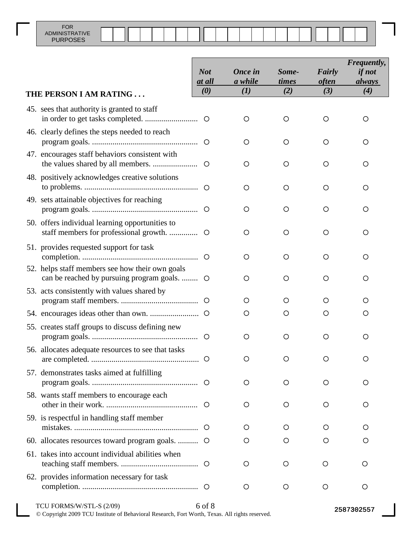|                                                                                                 | <b>Not</b><br>at all | <b>Once</b> in<br>a while | Some-<br>times | Fairly<br><i>often</i> | Frequently,<br><i>if not</i><br><i>always</i> |
|-------------------------------------------------------------------------------------------------|----------------------|---------------------------|----------------|------------------------|-----------------------------------------------|
| THE PERSON I AM RATING                                                                          | (0)                  | (I)                       | (2)            | (3)                    | (4)                                           |
| 45. sees that authority is granted to staff                                                     |                      | $\circ$                   | O              | O                      | O                                             |
| 46. clearly defines the steps needed to reach                                                   |                      | $\circ$                   | O              | O                      | O                                             |
| 47. encourages staff behaviors consistent with                                                  | $\circ$              | $\circ$                   | $\circ$        | O                      | Ο                                             |
| 48. positively acknowledges creative solutions                                                  |                      | $\circ$                   | $\circ$        | $\circ$                | $\circ$                                       |
| 49. sets attainable objectives for reaching                                                     |                      | $\circ$                   | $\circ$        | $\circ$                | O                                             |
| 50. offers individual learning opportunities to<br>staff members for professional growth.       | $\circ$              | $\circ$                   | $\circ$        | O                      | O                                             |
| 51. provides requested support for task                                                         | $\circ$              | $\circ$                   | $\circ$        | O                      | O                                             |
| 52. helps staff members see how their own goals<br>can be reached by pursuing program goals.  O |                      | $\circ$                   | $\circ$        | O                      | Ο                                             |
| 53. acts consistently with values shared by                                                     | $\circ$              | O                         | O              | O                      | O                                             |
|                                                                                                 |                      | O                         | O              | O                      | O                                             |
| 55. creates staff groups to discuss defining new                                                |                      | $\circ$                   | O              | O                      | O                                             |
| 56. allocates adequate resources to see that tasks                                              |                      | $\circ$                   | O              |                        |                                               |
| 57. demonstrates tasks aimed at fulfilling                                                      |                      | $\circ$                   | O              | O                      | O                                             |
| 58. wants staff members to encourage each                                                       | $\circ$              | $\circ$                   | O              | O                      | O                                             |
| 59. is respectful in handling staff member                                                      | $\circ$              | $\circ$                   | O              | O                      | O                                             |
| 60. allocates resources toward program goals.  O                                                |                      | Ő                         | Ő              | O                      | O                                             |
| 61. takes into account individual abilities when                                                |                      | O                         | $\circ$        | $\circ$                | O                                             |
| 62. provides information necessary for task                                                     |                      | O                         | O              | $\circ$                | O                                             |
| TCU FORMS/W/STL-S (2/09)                                                                        | 6 of 8               |                           |                |                        | 2587302557                                    |

© Copyright 2009 TCU Institute of Behavioral Research, Fort Worth, Texas. All rights reserved.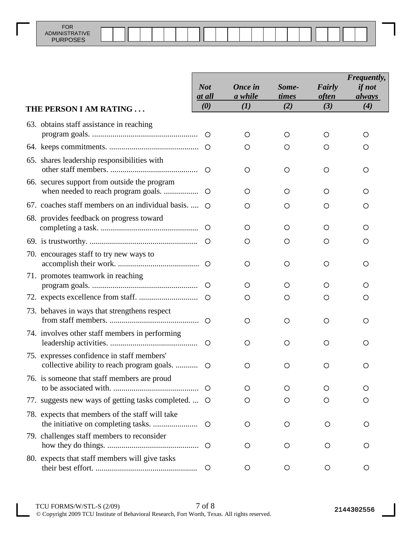|                                                                                          | <b>Not</b>           | <b>Once in</b> | Some-        | Fairly              | Frequently,<br><i>if not</i> |
|------------------------------------------------------------------------------------------|----------------------|----------------|--------------|---------------------|------------------------------|
| THE PERSON I AM RATING                                                                   | <u>at all</u><br>(0) | a while<br>(I) | times<br>(2) | <i>often</i><br>(3) | <i>always</i><br>(4)         |
| 63. obtains staff assistance in reaching                                                 |                      |                |              |                     |                              |
|                                                                                          | $\circ$              | O              | O            | O                   | O                            |
|                                                                                          | $\circ$              | O              | О            | O                   | Ő                            |
| 65. shares leadership responsibilities with                                              | O                    | O              | $\circ$      | O                   | Ő                            |
| 66. secures support from outside the program                                             | $\circ$              | O              | O            | O                   | O                            |
| 67. coaches staff members on an individual basis                                         | ∩                    | O              | O            | O                   | O                            |
| 68. provides feedback on progress toward                                                 | $\circ$              | O              | O            | O                   | Ő                            |
|                                                                                          | $\circ$              | O              | O            | O                   | Ő                            |
| 70. encourages staff to try new ways to                                                  | $\circ$              | O              | O            | O                   | O                            |
| 71. promotes teamwork in reaching                                                        | $\circ$              | O              | O            | Ő                   | Ő                            |
|                                                                                          | $\circ$              | O              | O            | O                   | Ő                            |
| 73. behaves in ways that strengthens respect                                             | $\circ$              | O              | $\circ$      | O                   | O                            |
| 74. involves other staff members in performing                                           | $\circ$              | O              | O            | Ο                   | O                            |
| 75. expresses confidence in staff members'<br>collective ability to reach program goals. | $\circ$              | O              | O            | O                   | O                            |
| 76. is someone that staff members are proud                                              | $\circ$              | O              | O            | O                   | O                            |
| 77. suggests new ways of getting tasks completed.                                        | $\circ$              | O              | O            | O                   | O                            |
| 78. expects that members of the staff will take                                          | $\circ$              | O              | $\circ$      | O                   | O                            |
| 79. challenges staff members to reconsider                                               | $\circ$              | O              | O            | O                   | О                            |
| 80. expects that staff members will give tasks                                           | O                    | O              | $\circ$      | O                   | O                            |